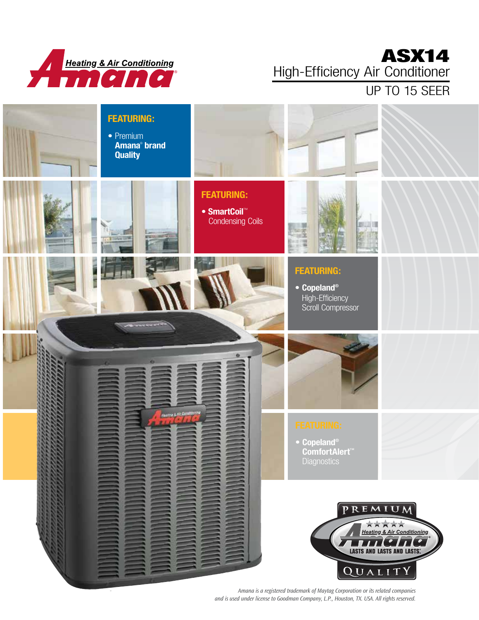

### ASX14 High-Efficiency Air Conditioner

UP TO 15 SEER



*Amana is a registered trademark of Maytag Corporation or its related companies and is used under license to Goodman Company, L.P., Houston, TX. USA. All rights reserved.*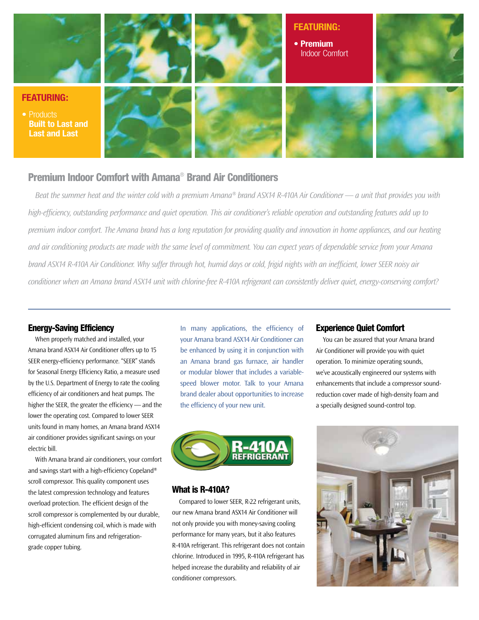

#### Premium Indoor Comfort with Amana® Brand Air Conditioners

*Beat the summer heat and the winter cold with a premium Amana® brand ASX14 R-410A Air Conditioner — a unit that provides you with high-efficiency, outstanding performance and quiet operation. This air conditioner's reliable operation and outstanding features add up to premium indoor comfort. The Amana brand has a long reputation for providing quality and innovation in home appliances, and our heating and air conditioning products are made with the same level of commitment. You can expect years of dependable service from your Amana brand ASX14 R-410A Air Conditioner. Why suffer through hot, humid days or cold, frigid nights with an inefficient, lower SEER noisy air conditioner when an Amana brand ASX14 unit with chlorine-free R-410A refrigerant can consistently deliver quiet, energy-conserving comfort?*

#### Energy-Saving Efficiency

When properly matched and installed, your Amana brand ASX14 Air Conditioner offers up to 15 SEER energy-efficiency performance. "SEER" stands for Seasonal Energy Efficiency Ratio, a measure used by the U.S. Department of Energy to rate the cooling efficiency of air conditioners and heat pumps. The higher the SEER, the greater the efficiency — and the lower the operating cost. Compared to lower SEER units found in many homes, an Amana brand ASX14 air conditioner provides significant savings on your electric bill.

With Amana brand air conditioners, your comfort and savings start with a high-efficiency Copeland® scroll compressor. This quality component uses the latest compression technology and features overload protection. The efficient design of the scroll compressor is complemented by our durable, high-efficient condensing coil, which is made with corrugated aluminum fins and refrigerationgrade copper tubing.

In many applications, the efficiency of your Amana brand ASX14 Air Conditioner can be enhanced by using it in conjunction with an Amana brand gas furnace, air handler or modular blower that includes a variablespeed blower motor. Talk to your Amana brand dealer about opportunities to increase the efficiency of your new unit.



#### What is R-410A?

Compared to lower SEER, R-22 refrigerant units, our new Amana brand ASX14 Air Conditioner will not only provide you with money-saving cooling performance for many years, but it also features R-410A refrigerant. This refrigerant does not contain chlorine. Introduced in 1995, R-410A refrigerant has helped increase the durability and reliability of air conditioner compressors.

#### Experience Quiet Comfort

You can be assured that your Amana brand Air Conditioner will provide you with quiet operation. To minimize operating sounds, we've acoustically engineered our systems with enhancements that include a compressor soundreduction cover made of high-density foam and a specially designed sound-control top.

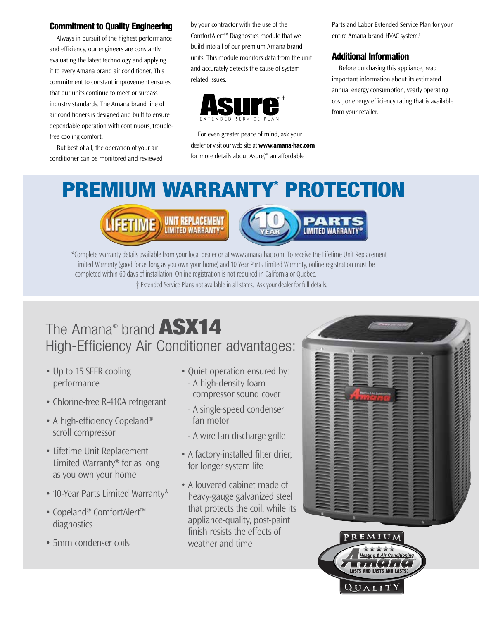#### Commitment to Quality Engineering

Always in pursuit of the highest performance and efficiency, our engineers are constantly evaluating the latest technology and applying it to every Amana brand air conditioner. This commitment to constant improvement ensures that our units continue to meet or surpass industry standards. The Amana brand line of air conditioners is designed and built to ensure dependable operation with continuous, troublefree cooling comfort.

But best of all, the operation of your air conditioner can be monitored and reviewed by your contractor with the use of the ComfortAlert™ Diagnostics module that we build into all of our premium Amana brand units. This module monitors data from the unit and accurately detects the cause of systemrelated issues.



For even greater peace of mind, ask your dealer or visit our web site at **www.amana-hac.com**  for more details about Asure,<sup>™</sup> an affordable

Parts and Labor Extended Service Plan for your entire Amana brand HVAC system.†

#### Additional Information

Before purchasing this appliance, read important information about its estimated annual energy consumption, yearly operating cost, or energy efficiency rating that is available from your retailer.

# PREMIUM WARRANTY\* PROTECTION





\*Complete warranty details available from your local dealer or at www.amana-hac.com. To receive the Lifetime Unit Replacement Limited Warranty (good for as long as you own your home) and 10-Year Parts Limited Warranty, online registration must be completed within 60 days of installation. Online registration is not required in California or Quebec. † Extended Service Plans not available in all states. Ask your dealer for full details.

# The Amana® brand ASX14 High-Efficiency Air Conditioner advantages:

- Up to 15 SEER cooling performance
- Chlorine-free R-410A refrigerant
- A high-efficiency Copeland<sup>®</sup> scroll compressor
- Lifetime Unit Replacement Limited Warranty\* for as long as you own your home
- 10-Year Parts Limited Warranty\*
- Copeland® ComfortAlert™ diagnostics
- 5mm condenser coils
- Quiet operation ensured by: - A high-density foam compressor sound cover
	- A single-speed condenser fan motor
	- A wire fan discharge grille
- A factory-installed filter drier, for longer system life
- A louvered cabinet made of heavy-gauge galvanized steel that protects the coil, while its appliance-quality, post-paint finish resists the effects of weather and time